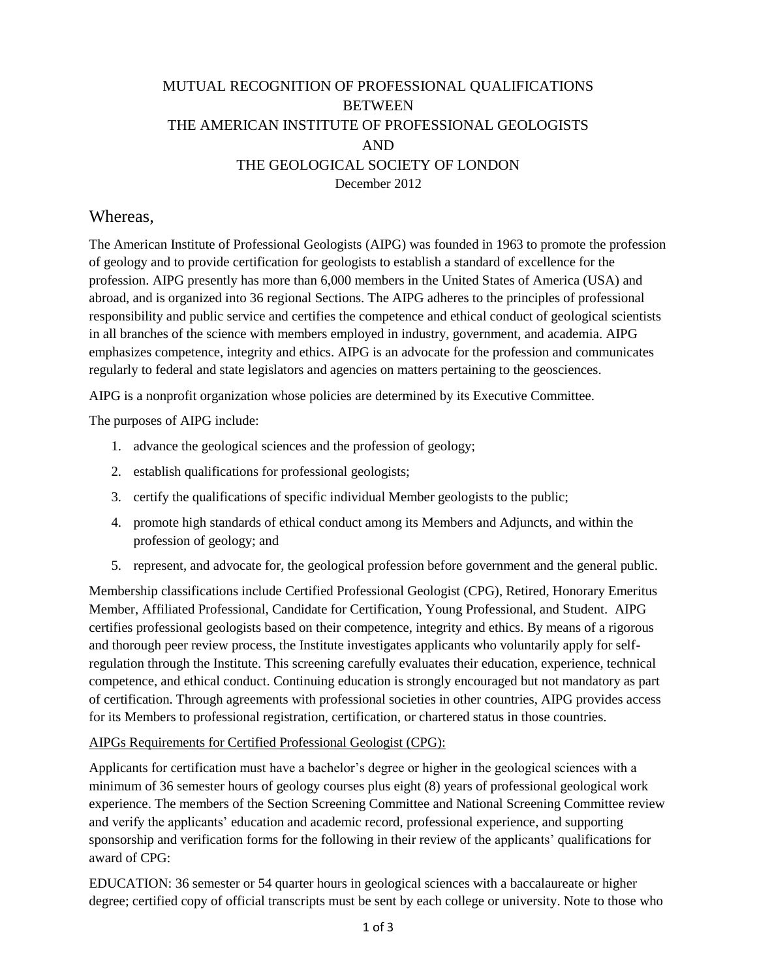## MUTUAL RECOGNITION OF PROFESSIONAL QUALIFICATIONS BETWEEN THE AMERICAN INSTITUTE OF PROFESSIONAL GEOLOGISTS AND THE GEOLOGICAL SOCIETY OF LONDON December 2012

### Whereas,

The American Institute of Professional Geologists (AIPG) was founded in 1963 to promote the profession of geology and to provide certification for geologists to establish a standard of excellence for the profession. AIPG presently has more than 6,000 members in the United States of America (USA) and abroad, and is organized into 36 regional Sections. The AIPG adheres to the principles of professional responsibility and public service and certifies the competence and ethical conduct of geological scientists in all branches of the science with members employed in industry, government, and academia. AIPG emphasizes competence, integrity and ethics. AIPG is an advocate for the profession and communicates regularly to federal and state legislators and agencies on matters pertaining to the geosciences.

AIPG is a nonprofit organization whose policies are determined by its Executive Committee.

The purposes of AIPG include:

- 1. advance the geological sciences and the profession of geology;
- 2. establish qualifications for professional geologists;
- 3. certify the qualifications of specific individual Member geologists to the public;
- 4. promote high standards of ethical conduct among its Members and Adjuncts, and within the profession of geology; and
- 5. represent, and advocate for, the geological profession before government and the general public.

Membership classifications include Certified Professional Geologist (CPG), Retired, Honorary Emeritus Member, Affiliated Professional, Candidate for Certification, Young Professional, and Student. AIPG certifies professional geologists based on their competence, integrity and ethics. By means of a rigorous and thorough peer review process, the Institute investigates applicants who voluntarily apply for selfregulation through the Institute. This screening carefully evaluates their education, experience, technical competence, and ethical conduct. Continuing education is strongly encouraged but not mandatory as part of certification. Through agreements with professional societies in other countries, AIPG provides access for its Members to professional registration, certification, or chartered status in those countries.

#### AIPGs Requirements for Certified Professional Geologist (CPG):

Applicants for certification must have a bachelor's degree or higher in the geological sciences with a minimum of 36 semester hours of geology courses plus eight (8) years of professional geological work experience. The members of the Section Screening Committee and National Screening Committee review and verify the applicants' education and academic record, professional experience, and supporting sponsorship and verification forms for the following in their review of the applicants' qualifications for award of CPG:

EDUCATION: 36 semester or 54 quarter hours in geological sciences with a baccalaureate or higher degree; certified copy of official transcripts must be sent by each college or university. Note to those who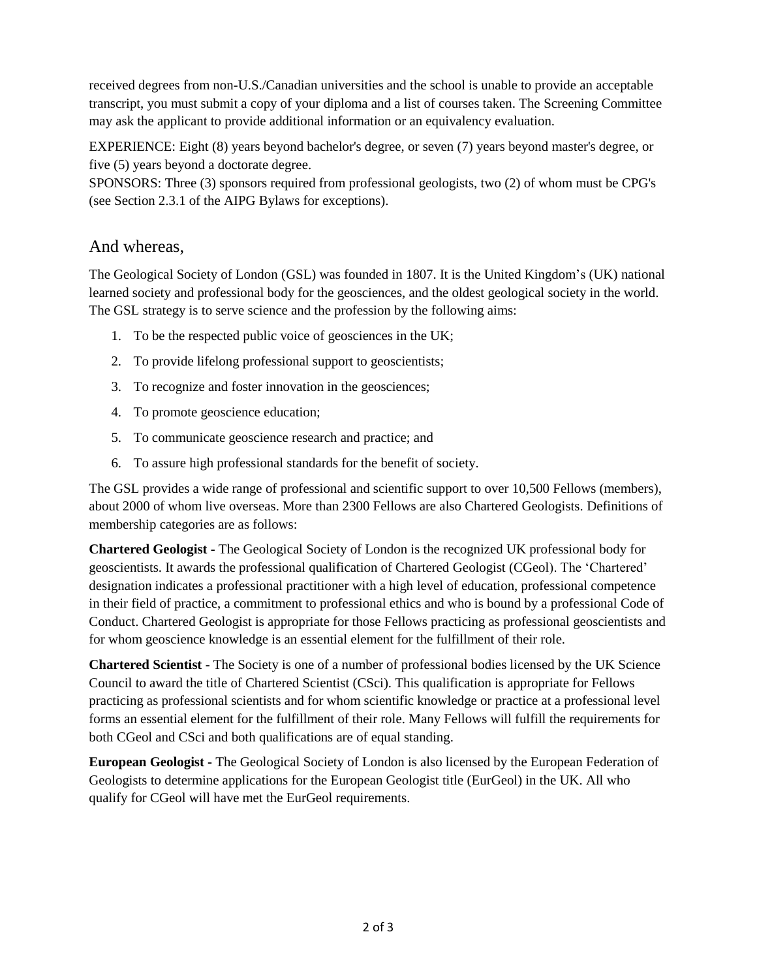received degrees from non-U.S./Canadian universities and the school is unable to provide an acceptable transcript, you must submit a copy of your diploma and a list of courses taken. The Screening Committee may ask the applicant to provide additional information or an equivalency evaluation.

EXPERIENCE: Eight (8) years beyond bachelor's degree, or seven (7) years beyond master's degree, or five (5) years beyond a doctorate degree.

SPONSORS: Three (3) sponsors required from professional geologists, two (2) of whom must be CPG's (see Section 2.3.1 of the AIPG Bylaws for exceptions).

## And whereas,

The Geological Society of London (GSL) was founded in 1807. It is the United Kingdom's (UK) national learned society and professional body for the geosciences, and the oldest geological society in the world. The GSL strategy is to serve science and the profession by the following aims:

- 1. To be the respected public voice of geosciences in the UK;
- 2. To provide lifelong professional support to geoscientists;
- 3. To recognize and foster innovation in the geosciences;
- 4. To promote geoscience education;
- 5. To communicate geoscience research and practice; and
- 6. To assure high professional standards for the benefit of society.

The GSL provides a wide range of professional and scientific support to over 10,500 Fellows (members), about 2000 of whom live overseas. More than 2300 Fellows are also Chartered Geologists. Definitions of membership categories are as follows:

**Chartered Geologist -** The Geological Society of London is the recognized UK professional body for geoscientists. It awards the professional qualification of Chartered Geologist (CGeol). The 'Chartered' designation indicates a professional practitioner with a high level of education, professional competence in their field of practice, a commitment to professional ethics and who is bound by a professional Code of Conduct. Chartered Geologist is appropriate for those Fellows practicing as professional geoscientists and for whom geoscience knowledge is an essential element for the fulfillment of their role.

**Chartered Scientist -** The Society is one of a number of professional bodies licensed by the UK Science Council to award the title of Chartered Scientist (CSci). This qualification is appropriate for Fellows practicing as professional scientists and for whom scientific knowledge or practice at a professional level forms an essential element for the fulfillment of their role. Many Fellows will fulfill the requirements for both CGeol and CSci and both qualifications are of equal standing.

**European Geologist -** The Geological Society of London is also licensed by the European Federation of Geologists to determine applications for the European Geologist title (EurGeol) in the UK. All who qualify for CGeol will have met the EurGeol requirements.